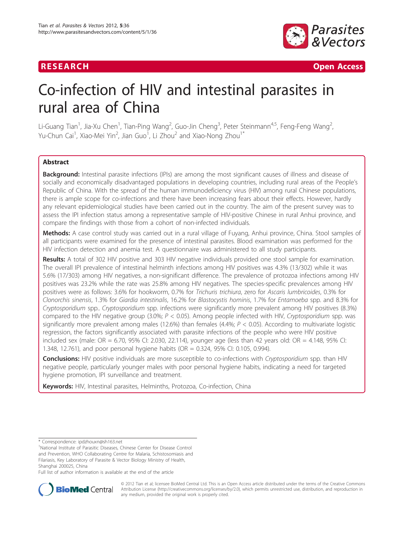

**RESEARCH Open Access** 

# Co-infection of HIV and intestinal parasites in rural area of China

Li-Guang Tian<sup>1</sup>, Jia-Xu Chen<sup>1</sup>, Tian-Ping Wang<sup>2</sup>, Guo-Jin Cheng<sup>3</sup>, Peter Steinmann<sup>4,5</sup>, Feng-Feng Wang<sup>2</sup> , Yu-Chun Cai<sup>1</sup>, Xiao-Mei Yin<sup>2</sup>, Jian Guo<sup>1</sup>, Li Zhou<sup>2</sup> and Xiao-Nong Zhou<sup>1\*</sup>

# Abstract

Background: Intestinal parasite infections (IPIs) are among the most significant causes of illness and disease of socially and economically disadvantaged populations in developing countries, including rural areas of the People's Republic of China. With the spread of the human immunodeficiency virus (HIV) among rural Chinese populations, there is ample scope for co-infections and there have been increasing fears about their effects. However, hardly any relevant epidemiological studies have been carried out in the country. The aim of the present survey was to assess the IPI infection status among a representative sample of HIV-positive Chinese in rural Anhui province, and compare the findings with those from a cohort of non-infected individuals.

Methods: A case control study was carried out in a rural village of Fuyang, Anhui province, China. Stool samples of all participants were examined for the presence of intestinal parasites. Blood examination was performed for the HIV infection detection and anemia test. A questionnaire was administered to all study participants.

Results: A total of 302 HIV positive and 303 HIV negative individuals provided one stool sample for examination. The overall IPI prevalence of intestinal helminth infections among HIV positives was 4.3% (13/302) while it was 5.6% (17/303) among HIV negatives, a non-significant difference. The prevalence of protozoa infections among HIV positives was 23.2% while the rate was 25.8% among HIV negatives. The species-specific prevalences among HIV positives were as follows: 3.6% for hookworm, 0.7% for Trichuris trichiura, zero for Ascaris lumbricoides, 0.3% for Clonorchis sinensis, 1.3% for Giardia intestinalis, 16.2% for Blastocystis hominis, 1.7% for Entamoeba spp. and 8.3% for Cryptosporidium spp.. Cryptosporidium spp. infections were significantly more prevalent among HIV positives (8.3%) compared to the HIV negative group (3.0%;  $P < 0.05$ ). Among people infected with HIV, Cryptosporidium spp. was significantly more prevalent among males (12.6%) than females (4.4%;  $P < 0.05$ ). According to multivariate logistic regression, the factors significantly associated with parasite infections of the people who were HIV positive included sex (male:  $OR = 6.70$ , 95% CI: 2.030, 22.114), younger age (less than 42 years old:  $OR = 4.148$ , 95% CI: 1.348, 12.761), and poor personal hygiene habits (OR = 0.324, 95% CI: 0.105, 0.994).

Conclusions: HIV positive individuals are more susceptible to co-infections with Cryptosporidium spp. than HIV negative people, particularly younger males with poor personal hygiene habits, indicating a need for targeted hygiene promotion, IPI surveillance and treatment.

Keywords: HIV, Intestinal parasites, Helminths, Protozoa, Co-infection, China

Full list of author information is available at the end of the article



© 2012 Tian et al; licensee BioMed Central Ltd. This is an Open Access article distributed under the terms of the Creative Commons Attribution License [\(http://creativecommons.org/licenses/by/2.0](http://creativecommons.org/licenses/by/2.0)), which permits unrestricted use, distribution, and reproduction in any medium, provided the original work is properly cited.

<sup>\*</sup> Correspondence: [ipdzhouxn@sh163.net](mailto:ipdzhouxn@sh163.net)

<sup>&</sup>lt;sup>1</sup>National Institute of Parasitic Diseases, Chinese Center for Disease Control and Prevention, WHO Collaborating Centre for Malaria, Schistosomiasis and Filariasis, Key Laboratory of Parasite & Vector Biology Ministry of Health, Shanghai 200025, China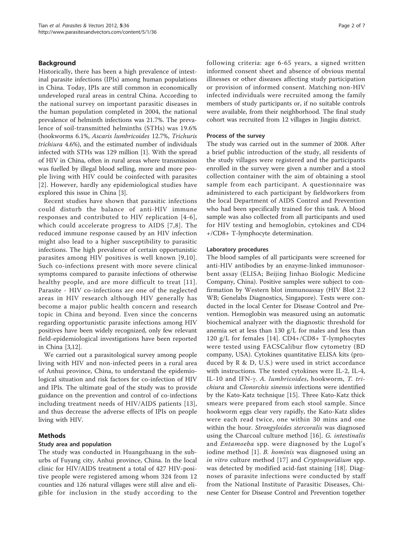# Background

Historically, there has been a high prevalence of intestinal parasite infections (IPIs) among human populations in China. Today, IPIs are still common in economically undeveloped rural areas in central China. According to the national survey on important parasitic diseases in the human population completed in 2004, the national prevalence of helminth infections was 21.7%. The prevalence of soil-transmitted helminths (STHs) was 19.6% (hookworms 6.1%, Ascaris lumbricoides 12.7%, Trichuris trichiura 4.6%), and the estimated number of individuals infected with STHs was 129 million [\[1](#page-5-0)]. With the spread of HIV in China, often in rural areas where transmission was fuelled by illegal blood selling, more and more people living with HIV could be coinfected with parasites [[2](#page-5-0)]. However, hardly any epidemiological studies have explored this issue in China [[3\]](#page-5-0).

Recent studies have shown that parasitic infections could disturb the balance of anti-HIV immune responses and contributed to HIV replication [[4-6\]](#page-5-0), which could accelerate progress to AIDS [[7,8](#page-5-0)]. The reduced immune response caused by an HIV infection might also lead to a higher susceptibility to parasitic infections. The high prevalence of certain opportunistic parasites among HIV positives is well known [[9,10\]](#page-5-0). Such co-infections present with more severe clinical symptoms compared to parasite infections of otherwise healthy people, and are more difficult to treat [[11\]](#page-5-0). Parasite - HIV co-infections are one of the neglected areas in HIV research although HIV generally has become a major public health concern and research topic in China and beyond. Even since the concerns regarding opportunistic parasite infections among HIV positives have been widely recognized, only few relevant field-epidemiological investigations have been reported in China [[3,12\]](#page-5-0).

We carried out a parasitological survey among people living with HIV and non-infected peers in a rural area of Anhui province, China, to understand the epidemiological situation and risk factors for co-infection of HIV and IPIs. The ultimate goal of the study was to provide guidance on the prevention and control of co-infections including treatment needs of HIV/AIDS patients [[13\]](#page-5-0), and thus decrease the adverse effects of IPIs on people living with HIV.

# Methods

### Study area and population

The study was conducted in Huangzhuang in the suburbs of Fuyang city, Anhui province, China. In the local clinic for HIV/AIDS treatment a total of 427 HIV-positive people were registered among whom 324 from 12 counties and 126 natural villages were still alive and eligible for inclusion in the study according to the following criteria: age 6-65 years, a signed written informed consent sheet and absence of obvious mental illnesses or other diseases affecting study participation or provision of informed consent. Matching non-HIV infected individuals were recruited among the family members of study participants or, if no suitable controls were available, from their neighborhood. The final study cohort was recruited from 12 villages in Jingjiu district.

### Process of the survey

The study was carried out in the summer of 2008. After a brief public introduction of the study, all residents of the study villages were registered and the participants enrolled in the survey were given a number and a stool collection container with the aim of obtaining a stool sample from each participant. A questionnaire was administered to each participant by fieldworkers from the local Department of AIDS Control and Prevention who had been specifically trained for this task. A blood sample was also collected from all participants and used for HIV testing and hemoglobin, cytokines and CD4 +/CD8+ T-lymphocyte determination.

#### Laboratory procedures

The blood samples of all participants were screened for anti-HIV antibodies by an enzyme-linked immunosorbent assay (ELISA; Beijing Jinhao Biologic Medicine Company, China). Positive samples were subject to confirmation by Western blot immunoassay (HIV Blot 2.2 WB; Genelabs Diagnostics, Singapore). Tests were conducted in the local Center for Disease Control and Prevention. Hemoglobin was measured using an automatic biochemical analyzer with the diagnostic threshold for anemia set at less than 130 g/L for males and less than 120 g/L for females [[14](#page-5-0)]. CD4+/CD8+ T-lymphocytes were tested using FACSCalibur flow cytometry (BD company, USA). Cytokines quantitative ELISA kits (produced by R & D, U.S.) were used in strict accordance with instructions. The tested cytokines were IL-2, IL-4, IL-10 and IFN-g. A. lumbricoides, hookworm, T. trichiura and Clonorchis sinensis infections were identified by the Kato-Katz technique [\[15](#page-5-0)]. Three Kato-Katz thick smears were prepared from each stool sample. Since hookworm eggs clear very rapidly, the Kato-Katz slides were each read twice, one within 30 mins and one within the hour. Strongyloides stercoralis was diagnosed using the Charcoal culture method [[16\]](#page-5-0). G. intestinalis and Entamoeba spp. were diagnosed by the Lugol's iodine method [[1](#page-5-0)]. *B. hominis* was diagnosed using an in vitro culture method [[17\]](#page-5-0) and Cryptosporidium spp. was detected by modified acid-fast staining [\[18](#page-5-0)]. Diagnoses of parasite infections were conducted by staff from the National Institute of Parasitic Diseases, Chinese Center for Disease Control and Prevention together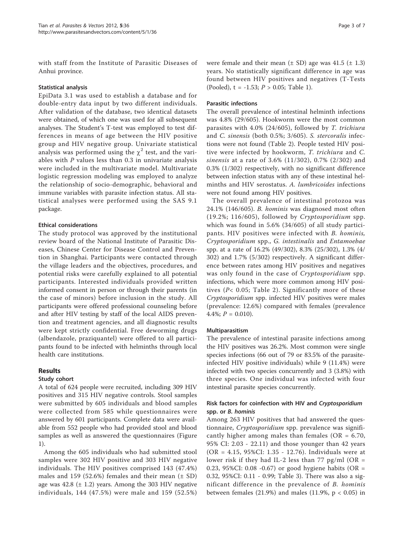with staff from the Institute of Parasitic Diseases of Anhui province.

# Statistical analysis

EpiData 3.1 was used to establish a database and for double-entry data input by two different individuals. After validation of the database, two identical datasets were obtained, of which one was used for all subsequent analyses. The Student's T-test was employed to test differences in means of age between the HIV positive group and HIV negative group. Univariate statistical analysis was performed using the  $\chi^2$  test, and the variables with  $P$  values less than 0.3 in univariate analysis were included in the multivariate model. Multivariate logistic regression modeling was employed to analyze the relationship of socio-demographic, behavioral and immune variables with parasite infection status. All statistical analyses were performed using the SAS 9.1 package.

# Ethical considerations

The study protocol was approved by the institutional review board of the National Institute of Parasitic Diseases, Chinese Center for Disease Control and Prevention in Shanghai. Participants were contacted through the village leaders and the objectives, procedures, and potential risks were carefully explained to all potential participants. Interested individuals provided written informed consent in person or through their parents (in the case of minors) before inclusion in the study. All participants were offered professional counseling before and after HIV testing by staff of the local AIDS prevention and treatment agencies, and all diagnostic results were kept strictly confidential. Free deworming drugs (albendazole, praziquantel) were offered to all participants found to be infected with helminths through local health care institutions.

# Results

# Study cohort

A total of 624 people were recruited, including 309 HIV positives and 315 HIV negative controls. Stool samples were submitted by 605 individuals and blood samples were collected from 585 while questionnaires were answered by 601 participants. Complete data were available from 552 people who had provided stool and blood samples as well as answered the questionnaires (Figure [1\)](#page-3-0).

Among the 605 individuals who had submitted stool samples were 302 HIV positive and 303 HIV negative individuals. The HIV positives comprised 143 (47.4%) males and 159 (52.6%) females and their mean  $(\pm SD)$ age was  $42.8 \pm 1.2$ ) years. Among the 303 HIV negative individuals, 144 (47.5%) were male and 159 (52.5%) were female and their mean  $(\pm SD)$  age was 41.5  $(\pm 1.3)$ years. No statistically significant difference in age was found between HIV positives and negatives (T-Tests (Pooled),  $t = -1.53$ ;  $P > 0.05$ ; Table [1\)](#page-3-0).

# Parasitic infections

The overall prevalence of intestinal helminth infections was 4.8% (29/605). Hookworm were the most common parasites with 4.0% (24/605), followed by T. trichiura and C. sinensis (both 0.5%; 3/605). S. stercoralis infections were not found (Table [2](#page-4-0)). People tested HIV positive were infected by hookworm, T. trichiura and C. sinensis at a rate of 3.6% (11/302), 0.7% (2/302) and 0.3% (1/302) respectively, with no significant difference between infection status with any of these intestinal helminths and HIV serostatus. A. lumbricoides infections were not found among HIV positives.

The overall prevalence of intestinal protozoa was 24.1% (146/605). B. hominis was diagnosed most often (19.2%; 116/605), followed by Cryptosporidium spp. which was found in 5.6% (34/605) of all study participants. HIV positives were infected with B. hominis, Cryptosporidium spp., G. intestinalis and Entamoebae spp. at a rate of 16.2% (49/302), 8.3% (25/302), 1.3% (4/ 302) and 1.7% (5/302) respectively. A significant difference between rates among HIV positives and negatives was only found in the case of *Cryptosporidium* spp. infections, which were more common among HIV positives (P< 0.05; Table [2](#page-4-0)). Significantly more of these Cryptosporidium spp. infected HIV positives were males (prevalence: 12.6%) compared with females (prevalence 4.4%;  $P = 0.010$ ).

### Multiparasitism

The prevalence of intestinal parasite infections among the HIV positives was 26.2%. Most common were single species infections (66 out of 79 or 83.5% of the parasiteinfected HIV positive individuals) while 9 (11.4%) were infected with two species concurrently and 3 (3.8%) with three species. One individual was infected with four intestinal parasite species concurrently.

# Risk factors for coinfection with HIV and Cryptosporidium spp. or B. hominis

Among 263 HIV positives that had answered the questionnaire, Cryptosporidium spp. prevalence was significantly higher among males than females ( $OR = 6.70$ , 95% CI: 2.03 - 22.11) and those younger than 42 years (OR = 4.15, 95%CI: 1.35 - 12.76). Individuals were at lower risk if they had IL-2 less than 77 pg/ml (OR = 0.23, 95%CI: 0.08 -0.67) or good hygiene habits (OR = 0.32, 95%CI: 0.11 - 0.99; Table [3](#page-4-0)). There was also a significant difference in the prevalence of B. hominis between females  $(21.9%)$  and males  $(11.9%)$ ,  $p < 0.05$ ) in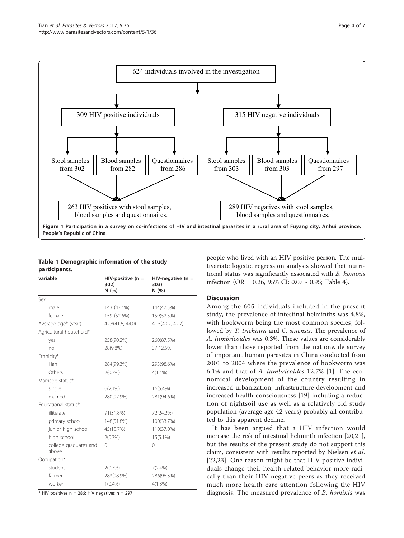<span id="page-3-0"></span>

# Table 1 Demographic information of the study participants.

| variable                       | $HIV$ -positive (n =<br>302)<br>N(%) | HIV-negative $(n =$<br>303)<br>N (%) |  |
|--------------------------------|--------------------------------------|--------------------------------------|--|
| Sex                            |                                      |                                      |  |
| male                           | 143 (47.4%)                          | 144(47.5%)                           |  |
| female                         | 159 (52.6%)                          | 159(52.5%)                           |  |
| Average age* (year)            | 42.8(41.6, 44.0)                     | 41.5(40.2, 42.7)                     |  |
| Agricultural household*        |                                      |                                      |  |
| yes                            | 258(90.2%)                           | 260(87.5%)                           |  |
| no                             | 28(9.8%)                             | 37(12.5%)                            |  |
| Ethnicity*                     |                                      |                                      |  |
| Han                            | 284(99.3%)                           | 293(98.6%)                           |  |
| Others                         | 2(0.7%)                              | $4(1.4\%)$                           |  |
| Marriage status*               |                                      |                                      |  |
| single                         | $6(2.1\%)$                           | $16(5.4\%)$                          |  |
| married                        | 280(97.9%)                           | 281(94.6%)                           |  |
| Educational status*            |                                      |                                      |  |
| illiterate                     | 91(31.8%)                            | 72(24.2%)                            |  |
| primary school                 | 148(51.8%)                           | 100(33.7%)                           |  |
| junior high school             | 45(15.7%)                            | 110(37.0%)                           |  |
| high school                    | 2(0.7%                               | $15(5.1\%)$                          |  |
| college graduates and<br>above | 0                                    | $\Omega$                             |  |
| Occupation*                    |                                      |                                      |  |
| student                        | 2(0.7%)                              | $7(2.4\%)$                           |  |
| farmer                         | 283(98.9%)                           | 286(96.3%)                           |  |
| worker                         | 1(0.4% )                             | $4(1.3\%)$                           |  |

 $*$  HIV positives n = 286; HIV negatives n = 297

people who lived with an HIV positive person. The multivariate logistic regression analysis showed that nutritional status was significantly associated with B. hominis infection (OR = 0.26, 95% CI: 0.07 - 0.95; Table [4\)](#page-4-0).

# **Discussion**

Among the 605 individuals included in the present study, the prevalence of intestinal helminths was 4.8%, with hookworm being the most common species, followed by T. trichiura and C. sinensis. The prevalence of A. lumbricoides was 0.3%. These values are considerably lower than those reported from the nationwide survey of important human parasites in China conducted from 2001 to 2004 where the prevalence of hookworm was 6.1% and that of A. lumbricoides 12.7% [[1\]](#page-5-0). The economical development of the country resulting in increased urbanization, infrastructure development and increased health consciousness [\[19](#page-5-0)] including a reduction of nightsoil use as well as a relatively old study population (average age 42 years) probably all contributed to this apparent decline.

It has been argued that a HIV infection would increase the risk of intestinal helminth infection [\[20,21](#page-5-0)], but the results of the present study do not support this claim, consistent with results reported by Nielsen et al. [[22,23\]](#page-5-0). One reason might be that HIV positive individuals change their health-related behavior more radically than their HIV negative peers as they received much more health care attention following the HIV diagnosis. The measured prevalence of B. hominis was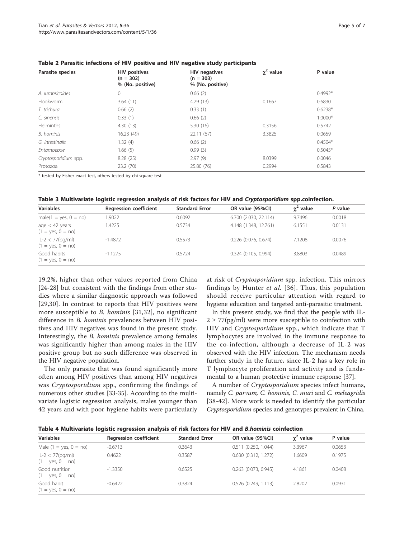| Parasite species     | <b>HIV positives</b><br>$(n = 302)$<br>% (No. positive) | <b>HIV</b> negatives<br>$(n = 303)$<br>% (No. positive) | $\chi^2$ value | P value   |
|----------------------|---------------------------------------------------------|---------------------------------------------------------|----------------|-----------|
| A. lumbricoides      | 0                                                       | 0.66(2)                                                 |                | $0.4992*$ |
| Hookworm             | 3.64(11)                                                | 4.29(13)                                                | 0.1667         | 0.6830    |
| T. trichura          | 0.66(2)                                                 | 0.33(1)                                                 |                | $0.6238*$ |
| C. sinensis          | 0.33(1)                                                 | 0.66(2)                                                 |                | $1.0000*$ |
| <b>Helminths</b>     | 4.30(13)                                                | 5.30(16)                                                | 0.3156         | 0.5742    |
| B. hominis           | 16.23 (49)                                              | 22.11(67)                                               | 3.3825         | 0.0659    |
| G. intestinalis      | 1.32(4)                                                 | 0.66(2)                                                 |                | $0.4504*$ |
| Entamoebae           | 1.66(5)                                                 | 0.99(3)                                                 |                | $0.5045*$ |
| Cryptosporidium spp. | 8.28(25)                                                | 2.97(9)                                                 | 8.0399         | 0.0046    |
| Protozoa             | 23.2 (70)                                               | 25.80 (76)                                              | 0.2994         | 0.5843    |

<span id="page-4-0"></span>Table 2 Parasitic infections of HIV positive and HIV negative study participants

\* tested by Fisher exact test, others tested by chi-square test

Table 3 Multivariate logistic regression analysis of risk factors for HIV and Cryptosporidium spp.coinfection.

| <b>Variables</b>                           | <b>Regression coefficient</b> | <b>Standard Error</b> | OR value (95%CI)       | $\chi^2$ value | P value |
|--------------------------------------------|-------------------------------|-----------------------|------------------------|----------------|---------|
| $male(1 = yes, 0 = no)$                    | 1.9022                        | 0.6092                | 6.700 (2.030, 22.114)  | 9.7496         | 0.0018  |
| age $<$ 42 years<br>$(1 = yes, 0 = no)$    | .4225                         | 0.5734                | 4.148 (1.348, 12.761)  | 6.1551         | 0.0131  |
| $ L-2  < 77(pq/ml)$<br>$(1 = yes, 0 = no)$ | -1.4872                       | 0.5573                | $0.226$ (0.076, 0.674) | 7.1208         | 0.0076  |
| Good habits<br>$(1 = yes, 0 = no)$         | $-1.1275$                     | 0.5724                | 0.324(0.105, 0.994)    | 3.8803         | 0.0489  |

19.2%, higher than other values reported from China [[24-28](#page-5-0)] but consistent with the findings from other studies where a similar diagnostic approach was followed [[29](#page-5-0),[30\]](#page-5-0). In contrast to reports that HIV positives were more susceptible to B. hominis [[31](#page-5-0),[32](#page-6-0)], no significant difference in B. hominis prevalences between HIV positives and HIV negatives was found in the present study. Interestingly, the B. hominis prevalence among females was significantly higher than among males in the HIV positive group but no such difference was observed in the HIV negative population.

The only parasite that was found significantly more often among HIV positives than among HIV negatives was Cryptosporidium spp., confirming the findings of numerous other studies [\[33](#page-6-0)-[35\]](#page-6-0). According to the multivariate logistic regression analysis, males younger than 42 years and with poor hygiene habits were particularly at risk of Cryptosporidium spp. infection. This mirrors findings by Hunter et al. [[36](#page-6-0)]. Thus, this population should receive particular attention with regard to hygiene education and targeted anti-parasitic treatment.

In this present study, we find that the people with IL- $2 \geq 77$ (pg/ml) were more susceptible to coinfection with HIV and Cryptosporidium spp., which indicate that T lymphocytes are involved in the immune response to the co-infection, although a decrease of IL-2 was observed with the HIV infection. The mechanism needs further study in the future, since IL-2 has a key role in T lymphocyte proliferation and activity and is fundamental to a human protective immune response [\[37](#page-6-0)].

A number of Cryptosporidium species infect humans, namely C. parvum, C. hominis, C. muri and C. meleagridis [[38](#page-6-0)-[42](#page-6-0)]. More work is needed to identify the particular Cryptosporidium species and genotypes prevalent in China.

Table 4 Multivariate logistic regression analysis of risk factors for HIV and B.hominis coinfection

| <b>Variables</b>                           | <b>Regression coefficient</b> | <b>Standard Error</b> | OR value (95%CI)         | $\chi^2$ value | P value |
|--------------------------------------------|-------------------------------|-----------------------|--------------------------|----------------|---------|
| Male $(1 = yes, 0 = no)$                   | $-0.6713$                     | 0.3643                | $0.511$ (0.250, 1.044)   | 3.3967         | 0.0653  |
| $ L-2  < 77(pq/ml)$<br>$(1 = yes, 0 = no)$ | 0.4622                        | 0.3587                | $0.630$ $(0.312, 1.272)$ | 1.6609         | 0.1975  |
| Good nutrition<br>$(1 = yes, 0 = no)$      | $-1.3350$                     | 0.6525                | $0.263$ $(0.073, 0.945)$ | 4.1861         | 0.0408  |
| Good habit<br>$(1 = yes, 0 = no)$          | $-0.6422$                     | 0.3824                | $0.526$ $(0.249, 1.113)$ | 2.8202         | 0.0931  |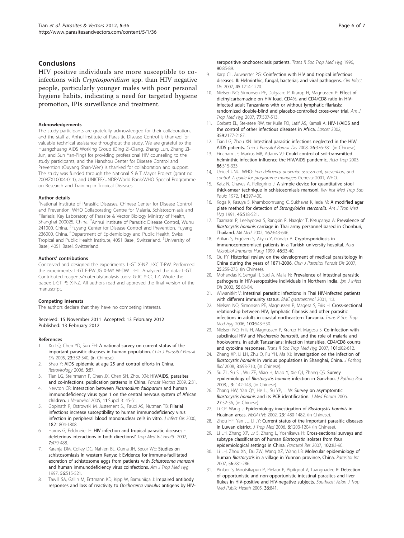# <span id="page-5-0"></span>Conclusions

HIV positive individuals are more susceptible to coinfections with Cryptosporidium spp. than HIV negative people, particularly younger males with poor personal hygiene habits, indicating a need for targeted hygiene promotion, IPIs surveillance and treatment.

#### Acknowledgements

The study participants are gratefully acknowledged for their collaboration, and the staff at Anhui Institute of Parasitic Disease Control is thanked for valuable technical assistance throughout the study. We are grateful to the Huangzhuang AIDS Working Group (Ding Zi-Qiang, Zhang Lun, Zhang Zi-Jun, and Sun Yan-Ping) for providing professional HIV counseling to the study participants, and the Hanshou Center for Disease Control and Prevention (Ouyang Shan-Wen) is thanked for collaboration and support. The study was funded through the National S & T Mayor Project (grant no. 2008ZX10004-011), and UNICEF/UNDP/World Bank/WHO Special Programme on Research and Training in Tropical Diseases.

#### Author details

<sup>1</sup>National Institute of Parasitic Diseases, Chinese Center for Disease Control and Prevention, WHO Collaborating Centre for Malaria, Schistosomiasis and Filariasis, Key Laboratory of Parasite & Vector Biology Ministry of Health, Shanghai 200025, China. <sup>2</sup>Anhui Institute of Parasitic Disease Control, Wuhu 241000, China. <sup>3</sup>Fuyang Center for Disease Control and Prevention, Fuyang 236000, China. <sup>4</sup>Department of Epidemiology and Public Health, Swiss Tropical and Public Health Institute, 4051 Basel, Switzerland. <sup>5</sup>University of Basel, 4051 Basel, Switzerland.

#### Authors' contributions

Conceived and designed the experiments: L-GT X-NZ J-XC T-PW. Performed the experiments: L-GT F-FW JG X-MY W-DW L-HL. Analyzed the data: L-GT. Contributed reagents/materials/analysis tools: G-JC Y-CC LZ. Wrote the paper: L-GT PS X-NZ. All authors read and approved the final version of the manuscript.

#### Competing interests

The authors declare that they have no competing interests.

Received: 15 November 2011 Accepted: 13 February 2012 Published: 13 February 2012

#### References

- 1. Xu LQ, Chen YD, Sun FH: A national survey on current status of the important parasitic diseases in human population. Chin J Parasitol Parasit Dis 2005, 23:332-340, (in Chinese).
- Shao Y: [AIDS epidemic at age 25 and control efforts in China.](http://www.ncbi.nlm.nih.gov/pubmed/17140434?dopt=Abstract) Retrovirology 2006, 3:87.
- Tian LG, Steinmann P, Chen JX, Chen SH, Zhou XN: [HIV/AIDS, parasites](http://www.ncbi.nlm.nih.gov/pubmed/19589143?dopt=Abstract) [and co-infections: publication patterns in China.](http://www.ncbi.nlm.nih.gov/pubmed/19589143?dopt=Abstract) Parasit Vectors 2009, 2:31.
- 4. Newton CR: Interaction between Plasmodium falciparum and human immunodeficiency virus type 1 on the central nervous system of African children. J Neurovirol 2005, 11:Suppl 3: 45-51.
- Gopinath R, Ostrowski M, Justement SJ, Fauci AS, Nutman TB: [Filarial](http://www.ncbi.nlm.nih.gov/pubmed/11069260?dopt=Abstract) [infections increase susceptibility to human immunodeficiency virus](http://www.ncbi.nlm.nih.gov/pubmed/11069260?dopt=Abstract) [infection in peripheral blood mononuclear cells in vitro.](http://www.ncbi.nlm.nih.gov/pubmed/11069260?dopt=Abstract) *J Infect Dis* 2000, 182:1804-1808.
- 6. Harms G, Feldmeier H: [HIV infection and tropical parasitic diseases](http://www.ncbi.nlm.nih.gov/pubmed/12031069?dopt=Abstract)  [deleterious interactions in both directions?](http://www.ncbi.nlm.nih.gov/pubmed/12031069?dopt=Abstract) Trop Med Int Health 2002, 7:479-488.
- Karanja DM, Colley DG, Nahlen BL, Ouma JH, Secor WE: [Studies on](http://www.ncbi.nlm.nih.gov/pubmed/9180601?dopt=Abstract) [schistosomiasis in western Kenya: I: Evidence for immune-facilitated](http://www.ncbi.nlm.nih.gov/pubmed/9180601?dopt=Abstract) [excretion of schistosome eggs from patients with](http://www.ncbi.nlm.nih.gov/pubmed/9180601?dopt=Abstract) Schistosoma mansoni [and human immunodeficiency virus coinfections.](http://www.ncbi.nlm.nih.gov/pubmed/9180601?dopt=Abstract) Am J Trop Med Hyg 1997, 56:515-521.
- Tawill SA, Gallin M, Erttmann KD, Kipp W, Bamuhiiga J: [Impaired antibody](http://www.ncbi.nlm.nih.gov/pubmed/8730320?dopt=Abstract) [responses and loss of reactivity to](http://www.ncbi.nlm.nih.gov/pubmed/8730320?dopt=Abstract) Onchocerca volvulus antigens by HIV-

[seropositive onchocerciasis patients.](http://www.ncbi.nlm.nih.gov/pubmed/8730320?dopt=Abstract) Trans R Soc Trop Med Hya 1996, 90:85-89.

- 9. Karp CL, Auwaerter PG: [Coinfection with HIV and tropical infectious](http://www.ncbi.nlm.nih.gov/pubmed/17918087?dopt=Abstract) [diseases. II: Helminthic, fungal, bacterial, and viral pathogens.](http://www.ncbi.nlm.nih.gov/pubmed/17918087?dopt=Abstract) Clin Infect Dis 2007, 45:1214-1220.
- 10. Nielsen NO, Simonsen PE, Dalgaard P, Krarup H, Magnussen P: [Effect of](http://www.ncbi.nlm.nih.gov/pubmed/17827369?dopt=Abstract) [diethylcarbamazine on HIV load, CD4%, and CD4/CD8 ratio in HIV](http://www.ncbi.nlm.nih.gov/pubmed/17827369?dopt=Abstract)[infected adult Tanzanians with or without lymphatic filariasis:](http://www.ncbi.nlm.nih.gov/pubmed/17827369?dopt=Abstract) [randomized double-blind and placebo-controlled cross-over trial.](http://www.ncbi.nlm.nih.gov/pubmed/17827369?dopt=Abstract) Am J Trop Med Hyg 2007, 77:507-513.
- 11. Corbett EL, Steketee RW, ter Kuile FO, Latif AS, Kamali A: [HIV-1/AIDS and](http://www.ncbi.nlm.nih.gov/pubmed/12090997?dopt=Abstract) [the control of other infectious diseases in Africa.](http://www.ncbi.nlm.nih.gov/pubmed/12090997?dopt=Abstract) Lancet 2002, 359:2177-2187.
- 12. Tian LG, Zhou XN: Intestinal parasitic infections neglected in the HIV/ AIDS patients. Chin J Parasitol Parasit Dis 2008, 26:376-381 (in Chinese).
- 13. Fincham JE, Markus MB, Adams VJ: [Could control of soil-transmitted](http://www.ncbi.nlm.nih.gov/pubmed/12745148?dopt=Abstract) [helminthic infection influence the HIV/AIDS pandemic.](http://www.ncbi.nlm.nih.gov/pubmed/12745148?dopt=Abstract) Acta Trop 2003, 86:315-333.
- 14. Unicef UNU. WHO: Iron deficiency anaemia: assessment, prevention, and control. A guide for programme managers Geneva; 2001, WHO.
- 15. Katz N, Chaves A, Pellegrino J: [A simple device for quantitative stool](http://www.ncbi.nlm.nih.gov/pubmed/4675644?dopt=Abstract) [thick-smear technique in schistosomiasis mansoni.](http://www.ncbi.nlm.nih.gov/pubmed/4675644?dopt=Abstract) Rev Inst Med Trop Sao Paulo 1972, 14:397-400.
- 16. Koga K, Kasuya S, Khamboonruang C, Sukhavat K, leda M: [A modified agar](http://www.ncbi.nlm.nih.gov/pubmed/1951861?dopt=Abstract) [plate method for detection of](http://www.ncbi.nlm.nih.gov/pubmed/1951861?dopt=Abstract) Strongyloides stercoralis. Am J Trop Med Hyg 1991, 45:518-521.
- 17. Taamasri P, Leelayoova S, Rangsin R, Naaglor T, Ketupanya A: [Prevalence of](http://www.ncbi.nlm.nih.gov/pubmed/12188234?dopt=Abstract) Blastocystis hominis [carriage in Thai army personnel based in Chonburi,](http://www.ncbi.nlm.nih.gov/pubmed/12188234?dopt=Abstract) [Thailand.](http://www.ncbi.nlm.nih.gov/pubmed/12188234?dopt=Abstract) Mil Med 2002, 167:643-646.
- 18. Arikan S, Ergüven S, Aky n Y, Günalp A: [Cryptosporidiosis in](http://www.ncbi.nlm.nih.gov/pubmed/10331066?dopt=Abstract) [immunocompromised patients in a Turkish university hospital.](http://www.ncbi.nlm.nih.gov/pubmed/10331066?dopt=Abstract) Acta Microbiol Immunol Hung 1999, 46:33-40.
- 19. Qu FY: Historical review on the development of medical parasitology in China during the years of 1871-2006. Chin J Parasitol Parasit Dis 2007, 25:259-273, (in Chinese).
- 20. Mohandas K, Sehgal R, Sud A, Malla N: [Prevalence of intestinal parasitic](http://www.ncbi.nlm.nih.gov/pubmed/12195048?dopt=Abstract) [pathogens in HIV-seropositive individuals in Northern India.](http://www.ncbi.nlm.nih.gov/pubmed/12195048?dopt=Abstract) Jpn J Infect Dis 2002, 55:83-84.
- 21. Wiwanitkit V: [Intestinal parasitic infections in Thai HIV-infected patients](http://www.ncbi.nlm.nih.gov/pubmed/11394966?dopt=Abstract) [with different immunity status.](http://www.ncbi.nlm.nih.gov/pubmed/11394966?dopt=Abstract) BMC gastroenterol 2001, 1:3.
- 22. Nielsen NO, Simonsen PE, Magnussen P, Magesa S, Friis H: [Cross-sectional](http://www.ncbi.nlm.nih.gov/pubmed/16324731?dopt=Abstract) [relationship between HIV, lymphatic filariasis and other parasitic](http://www.ncbi.nlm.nih.gov/pubmed/16324731?dopt=Abstract) [infections in adults in coastal northeastern Tanzania.](http://www.ncbi.nlm.nih.gov/pubmed/16324731?dopt=Abstract) Trans R Soc Trop Med Hyg 2006, 100:543-550.
- 23. Nielsen NO, Friis H, Magnussen P, Krarup H, Magesa S: [Co-infection with](http://www.ncbi.nlm.nih.gov/pubmed/17395223?dopt=Abstract) subclinical HIV and Wuchereria bancrofti[, and the role of malaria and](http://www.ncbi.nlm.nih.gov/pubmed/17395223?dopt=Abstract) [hookworms, in adult Tanzanians: infection intensities, CD4/CD8 counts](http://www.ncbi.nlm.nih.gov/pubmed/17395223?dopt=Abstract) [and cytokine responses.](http://www.ncbi.nlm.nih.gov/pubmed/17395223?dopt=Abstract) Trans R Soc Trop Med Hyg 2007, 101:602-612.
- 24. Zhang XP, Li LH, Zhu Q, Fu YH, Ma XJ: Investigation on the infection of Blastocystis hominis in various populations in Shanghai, China. J Pathog Biol 2008, 3:693-710, (in Chinese).
- 25. Su ZL, Su SL, Wu ZF, Miao H, Miao Y, Xie QJ, Zhang QS: Survey epidemiology of Blastocystis hominis infection in Ganzhou. J Pathog Biol 2008, , 3: 142-143, (in Chinese).
- 26. Zhang HW, Yan QY, He LJ, Su YP, Li W: Survey on asymptomtic Blastocystis hominis and its PCR identification. J Med Forum 2006, 27:32-36, (in Chinese).
- 27. Li CP, Wang J: Epidemiology investigation of Blastocystis hominis in Huainan areas. NEGATIVE 2002, 23:1480-1482, (in Chinese).
- 28. Zhou HF, Yan JL, Li JY: Current status of the important parasitic diseases in Luwan district. J Trop Med 2006, 6:1203-1204 (in Chinese).
- 29. Li LH, Zhang XP, Lv S, Zhang L, Yoshikawa H: [Cross-sectional surveys and](http://www.ncbi.nlm.nih.gov/pubmed/17912552?dopt=Abstract) [subtype classification of human](http://www.ncbi.nlm.nih.gov/pubmed/17912552?dopt=Abstract) Blastocystis isolates from four [epidemiological settings in China.](http://www.ncbi.nlm.nih.gov/pubmed/17912552?dopt=Abstract) Parasitol Res 2007, 102:83-90.
- 30. Li LH, Zhou XN, Du ZW, Wang XZ, Wang LB: [Molecular epidemiology of](http://www.ncbi.nlm.nih.gov/pubmed/17627869?dopt=Abstract) human Blastocystis [in a village in Yunnan province, China.](http://www.ncbi.nlm.nih.gov/pubmed/17627869?dopt=Abstract) Parasitol Int 2007, 56:281-286.
- 31. Pinlaor S, Mootsikapun P, Pinlaor P, Pipitgool V, Tuangnadee R: Detection of opportunistic and non-opportunistic intestinal parasites and liver flukes in HIV-positive and HIV-negative subjects. Southeast Asian J Trop Med Public Health 2005, 36:841.